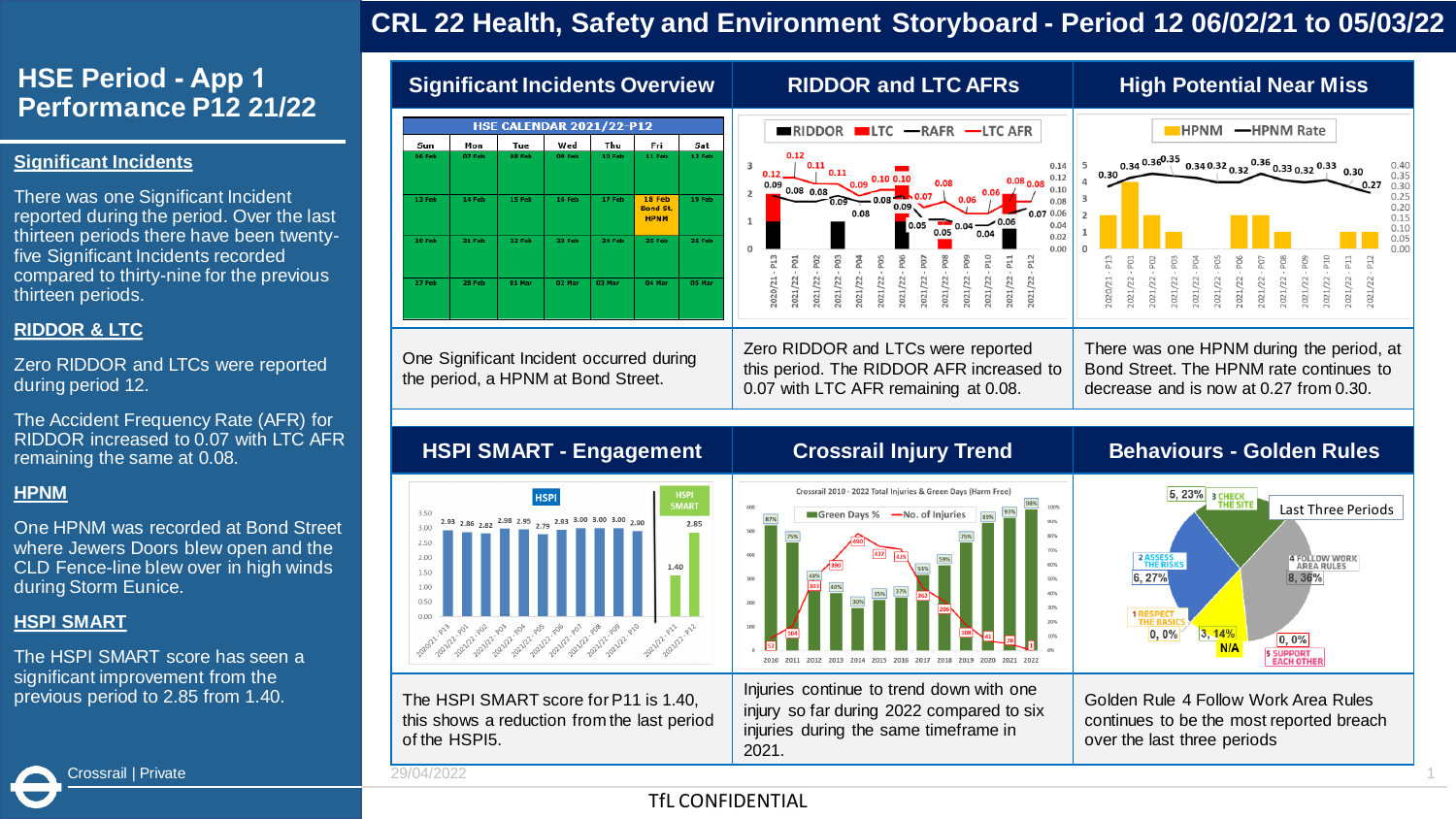## **CRL 22 Health, Safety and Environment Storyboard - Period 12 06/02/21 to 05/03/22**

## **HSE Period - App 1 Performance P12 21/22**

#### **Significant Incidents**

There was one Significant Incident reported during the period. Over the last thirteen periods there have been twentyfive Significant Incidents recorded compared to thirty-nine for the previous thirteen periods.

#### **RIDDOR & LTC**

Zero RIDDOR and LTCs were reported during period 12.

The Accident Frequency Rate (AFR) for RIDDOR increased to 0.07 with LTC AFR remaining the same at 0.08.

#### **HPNM**

One HPNM was recorded at Bond Street where Jewers Doors blew open and the CLD Fence-line blew over in high winds during Storm Eunice.

#### **HSPI SMART**

The HSPI SMART score has seen a significant improvement from the previous period to 2.85 from 1.40.



Injuries continue to trend down with one injury so far during 2022 compared to six injuries during the same timeframe in 2021.

Golden Rule 4 Follow Work Area Rules continues to be the most reported breach over the last three periods

Crossrail | Private 29/04/2022 1

of the HSPI5.

The HSPI SMART score for P11 is 1.40, this shows a reduction from the last period

### **Tfl CONFIDENTIAL**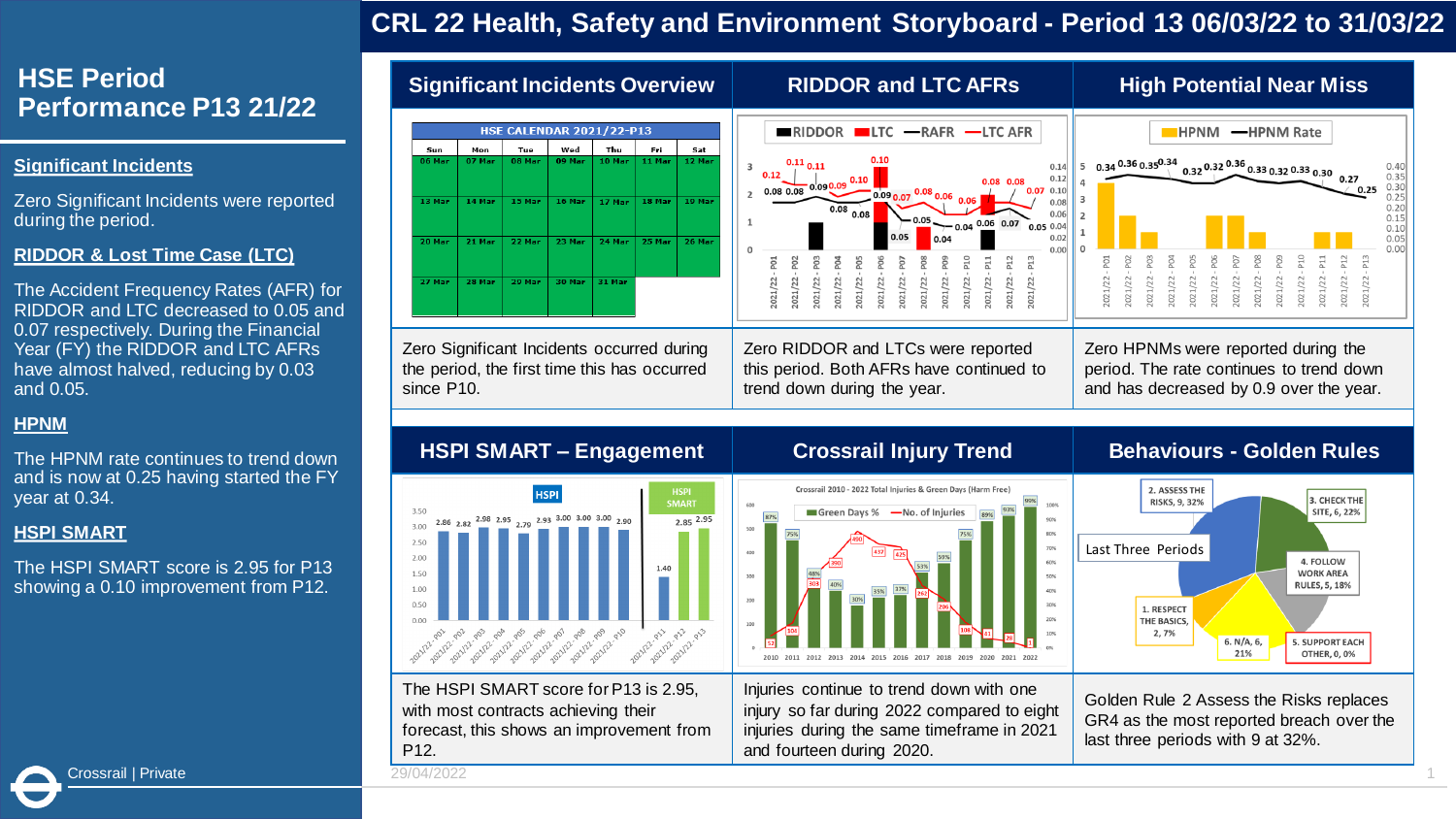## **CRL 22 Health, Safety and Environment Storyboard - Period 13 06/03/22 to 31/03/22**

## **HSE Period Performance P13 21/22**

#### **Significant Incidents**

Zero Significant Incidents were reported during the period.

#### **RIDDOR & Lost Time Case (LTC)**

The Accident Frequency Rates (AFR) for RIDDOR and LTC decreased to 0.05 and 0.07 respectively. During the Financial Year (FY) the RIDDOR and LTC AFRs have almost halved, reducing by 0.03 and 0.05.

#### **HPNM**

The HPNM rate continues to trend down and is now at 0.25 having started the FY year at 0.34.

#### **HSPI SMART**

The HSPI SMART score is 2.95 for P13 showing a 0.10 improvement from P12.

| <b>HSE CALENDAR 2021/22-P13</b><br>RIDDOR<br>$\blacksquare$ LTC $\blacksquare$ RAFR $\blacksquare$ LTC AFR<br><b>HPNM</b><br>-HPNM Rate<br>Wed<br>Thu<br>Fri<br>Sat<br>Sun<br>Mon<br>Tue<br>06 Mar<br>08 Mar<br>09 Mar<br>10 Mar<br>11 Mar<br>12 Mar<br>07 Mar<br>$0.34\,^{0.36}\,0.35^{0.34}$ $0.32\,^{0.32}\,$ $^{0.36}\,$ $0.33\,$ $0.32\,$ $0.33\,$ $0.30$ $0.27$<br>$0.11_{0.11}$<br>5<br>0.14<br>0.12<br>0.12<br>0.10<br>0.08<br>0.09 0.09<br>0.25<br>0.080.08<br>0.10<br>0.07<br>$\sqrt[10.08]{0.06}$ 0.06<br>$0.09_{0.07}$<br>15 Mar<br>16 Mar<br>18 Mar<br>19 Mar<br>13 Mar<br>14 Mar<br>17 Mar<br>0.08<br>0.08<br>0.08<br>0.06<br>$0.05 - 0.04$ $0.06$ 0.07<br>0.050.04<br>0.05<br>0.02<br>22 Mar<br>23 Mar<br>24 Mar<br>25 Mar<br>26 Mar<br>20 Mar<br>21 Mar<br>0.00<br>P12<br>P13<br>$-908$<br>ā<br>P <sub>02</sub><br>P <sub>03</sub><br>P <sub>01</sub><br>$-100$<br>2021/22 - POS<br>P <sub>07</sub><br>ě<br>2021/22<br>2021/22<br>2021/22<br>2021/22<br>2021/22<br>2021/22<br>2021/22<br>2021/22<br>2021/22<br>2021/22<br>2021/22<br>2021/22<br>2021/22<br>2021/22<br>2021/22<br>2021/22<br>2021/22<br>2021/22<br>021/22<br>2021/22<br>27 Mar<br>29 Mar<br>30 Mar<br>31 Mar<br>28 Mar<br>Zero Significant Incidents occurred during<br>Zero RIDDOR and LTCs were reported<br>Zero HPNMs were reported during the<br>the period, the first time this has occurred<br>this period. Both AFRs have continued to<br>period. The rate continues to trend down<br>and has decreased by 0.9 over the year.<br>trend down during the year.<br>since P10. | <b>Significant Incidents Overview</b> | <b>RIDDOR and LTC AFRS</b> | <b>High Potential Near Miss</b>                                      |  |
|------------------------------------------------------------------------------------------------------------------------------------------------------------------------------------------------------------------------------------------------------------------------------------------------------------------------------------------------------------------------------------------------------------------------------------------------------------------------------------------------------------------------------------------------------------------------------------------------------------------------------------------------------------------------------------------------------------------------------------------------------------------------------------------------------------------------------------------------------------------------------------------------------------------------------------------------------------------------------------------------------------------------------------------------------------------------------------------------------------------------------------------------------------------------------------------------------------------------------------------------------------------------------------------------------------------------------------------------------------------------------------------------------------------------------------------------------------------------------------------------------------------------------------------------------------------|---------------------------------------|----------------------------|----------------------------------------------------------------------|--|
|                                                                                                                                                                                                                                                                                                                                                                                                                                                                                                                                                                                                                                                                                                                                                                                                                                                                                                                                                                                                                                                                                                                                                                                                                                                                                                                                                                                                                                                                                                                                                                  |                                       |                            | 0.40<br>0.35<br>0.30<br>0.25<br>0.20<br>0.15<br>0.10<br>0.05<br>0.00 |  |
|                                                                                                                                                                                                                                                                                                                                                                                                                                                                                                                                                                                                                                                                                                                                                                                                                                                                                                                                                                                                                                                                                                                                                                                                                                                                                                                                                                                                                                                                                                                                                                  |                                       |                            |                                                                      |  |
| <b>Behaviours - Golden Rules</b><br><b>HSPI SMART - Engagement</b><br><b>Crossrail Injury Trend</b>                                                                                                                                                                                                                                                                                                                                                                                                                                                                                                                                                                                                                                                                                                                                                                                                                                                                                                                                                                                                                                                                                                                                                                                                                                                                                                                                                                                                                                                              |                                       |                            |                                                                      |  |



The HSPI SMART score for P13 is 2.95, with most contracts achieving their forecast, this shows an improvement from P12.



Injuries continue to trend down with one injury so far during 2022 compared to eight injuries during the same timeframe in 2021

and fourteen during 2020.



Golden Rule 2 Assess the Risks replaces GR4 as the most reported breach over the last three periods with 9 at 32%.

Crossrail | Private 29/04/2022 1